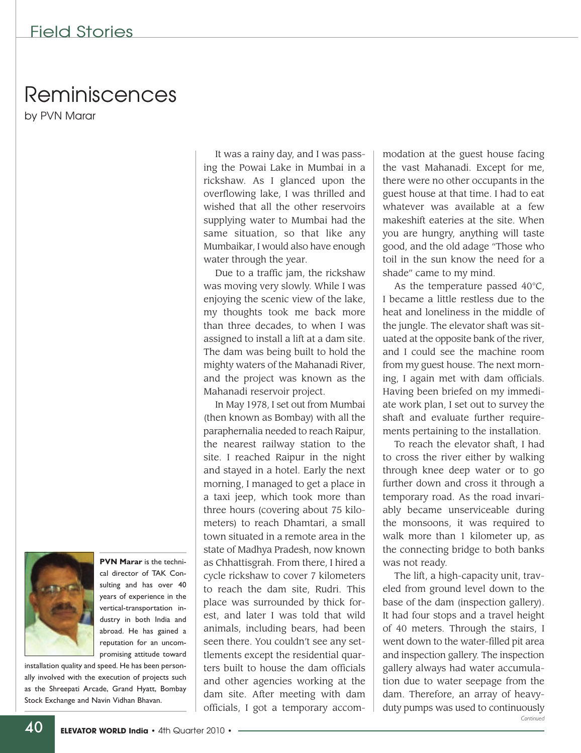## Reminiscences

by PVN Marar



**PVN Marar** is the technical director of TAK Consulting and has over 40 years of experience in the vertical-transportation industry in both India and abroad. He has gained a reputation for an uncompromising attitude toward

installation quality and speed. He has been personally involved with the execution of projects such as the Shreepati Arcade, Grand Hyatt, Bombay Stock Exchange and Navin Vidhan Bhavan.

It was a rainy day, and I was passing the Powai Lake in Mumbai in a rickshaw. As I glanced upon the overflowing lake, I was thrilled and wished that all the other reservoirs supplying water to Mumbai had the same situation, so that like any Mumbaikar, I would also have enough water through the year.

Due to a traffic jam, the rickshaw was moving very slowly. While I was enjoying the scenic view of the lake, my thoughts took me back more than three decades, to when I was assigned to install a lift at a dam site. The dam was being built to hold the mighty waters of the Mahanadi River, and the project was known as the Mahanadi reservoir project.

In May 1978, I set out from Mumbai (then known as Bombay) with all the paraphernalia needed to reach Raipur, the nearest railway station to the site. I reached Raipur in the night and stayed in a hotel. Early the next morning, I managed to get a place in a taxi jeep, which took more than three hours (covering about 75 kilometers) to reach Dhamtari, a small town situated in a remote area in the state of Madhya Pradesh, now known as Chhattisgrah. From there, I hired a cycle rickshaw to cover 7 kilometers to reach the dam site, Rudri. This place was surrounded by thick forest, and later I was told that wild animals, including bears, had been seen there. You couldn't see any settlements except the residential quarters built to house the dam officials and other agencies working at the dam site. After meeting with dam officials, I got a temporary accom-

modation at the guest house facing the vast Mahanadi. Except for me, there were no other occupants in the guest house at that time. I had to eat whatever was available at a few makeshift eateries at the site. When you are hungry, anything will taste good, and the old adage "Those who toil in the sun know the need for a shade" came to my mind.

As the temperature passed  $40^{\circ}$ C, I became a little restless due to the heat and loneliness in the middle of the jungle. The elevator shaft was situated at the opposite bank of the river, and I could see the machine room from my guest house. The next morning, I again met with dam officials. Having been briefed on my immediate work plan, I set out to survey the shaft and evaluate further requirements pertaining to the installation.

To reach the elevator shaft, I had to cross the river either by walking through knee deep water or to go further down and cross it through a temporary road. As the road invariably became unserviceable during the monsoons, it was required to walk more than 1 kilometer up, as the connecting bridge to both banks was not ready.

The lift, a high-capacity unit, traveled from ground level down to the base of the dam (inspection gallery). It had four stops and a travel height of 40 meters. Through the stairs, I went down to the water-filled pit area and inspection gallery. The inspection gallery always had water accumulation due to water seepage from the dam. Therefore, an array of heavyduty pumps was used to continuously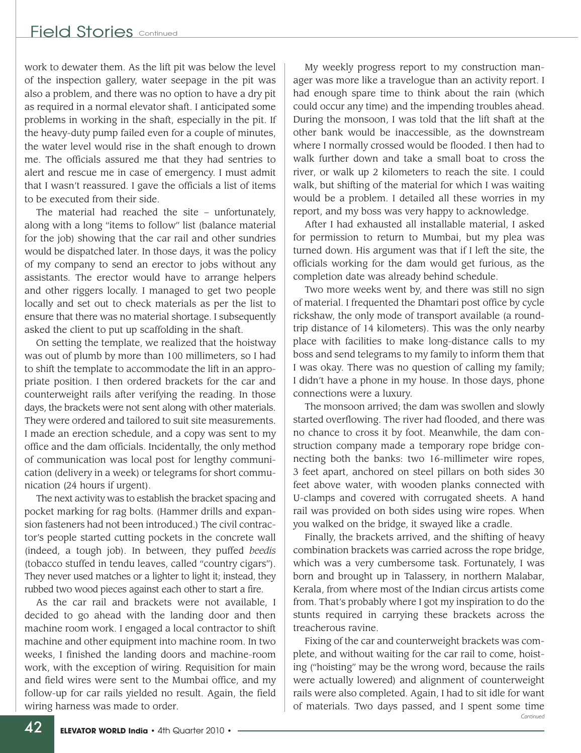work to dewater them. As the lift pit was below the level of the inspection gallery, water seepage in the pit was also a problem, and there was no option to have a dry pit as required in a normal elevator shaft. I anticipated some problems in working in the shaft, especially in the pit. If the heavy-duty pump failed even for a couple of minutes, the water level would rise in the shaft enough to drown me. The officials assured me that they had sentries to alert and rescue me in case of emergency. I must admit that I wasn't reassured. I gave the officials a list of items to be executed from their side.

The material had reached the site – unfortunately, along with a long "items to follow" list (balance material for the job) showing that the car rail and other sundries would be dispatched later. In those days, it was the policy of my company to send an erector to jobs without any assistants. The erector would have to arrange helpers and other riggers locally. I managed to get two people locally and set out to check materials as per the list to ensure that there was no material shortage. I subsequently asked the client to put up scaffolding in the shaft.

On setting the template, we realized that the hoistway was out of plumb by more than 100 millimeters, so I had to shift the template to accommodate the lift in an appropriate position. I then ordered brackets for the car and counterweight rails after verifying the reading. In those days, the brackets were not sent along with other materials. They were ordered and tailored to suit site measurements. I made an erection schedule, and a copy was sent to my office and the dam officials. Incidentally, the only method of communication was local post for lengthy communication (delivery in a week) or telegrams for short communication (24 hours if urgent).

The next activity was to establish the bracket spacing and pocket marking for rag bolts. (Hammer drills and expansion fasteners had not been introduced.) The civil contractor's people started cutting pockets in the concrete wall (indeed, a tough job). In between, they puffed *beedis* (tobacco stuffed in tendu leaves, called "country cigars"). They never used matches or a lighter to light it; instead, they rubbed two wood pieces against each other to start a fire.

As the car rail and brackets were not available, I decided to go ahead with the landing door and then machine room work. I engaged a local contractor to shift machine and other equipment into machine room. In two weeks, I finished the landing doors and machine-room work, with the exception of wiring. Requisition for main and field wires were sent to the Mumbai office, and my follow-up for car rails yielded no result. Again, the field wiring harness was made to order.

My weekly progress report to my construction manager was more like a travelogue than an activity report. I had enough spare time to think about the rain (which could occur any time) and the impending troubles ahead. During the monsoon, I was told that the lift shaft at the other bank would be inaccessible, as the downstream where I normally crossed would be flooded. I then had to walk further down and take a small boat to cross the river, or walk up 2 kilometers to reach the site. I could walk, but shifting of the material for which I was waiting would be a problem. I detailed all these worries in my report, and my boss was very happy to acknowledge.

After I had exhausted all installable material, I asked for permission to return to Mumbai, but my plea was turned down. His argument was that if I left the site, the officials working for the dam would get furious, as the completion date was already behind schedule.

Two more weeks went by, and there was still no sign of material. I frequented the Dhamtari post office by cycle rickshaw, the only mode of transport available (a roundtrip distance of 14 kilometers). This was the only nearby place with facilities to make long-distance calls to my boss and send telegrams to my family to inform them that I was okay. There was no question of calling my family; I didn't have a phone in my house. In those days, phone connections were a luxury.

The monsoon arrived; the dam was swollen and slowly started overflowing. The river had flooded, and there was no chance to cross it by foot. Meanwhile, the dam construction company made a temporary rope bridge connecting both the banks: two 16-millimeter wire ropes, 3 feet apart, anchored on steel pillars on both sides 30 feet above water, with wooden planks connected with U-clamps and covered with corrugated sheets. A hand rail was provided on both sides using wire ropes. When you walked on the bridge, it swayed like a cradle.

Finally, the brackets arrived, and the shifting of heavy combination brackets was carried across the rope bridge, which was a very cumbersome task. Fortunately, I was born and brought up in Talassery, in northern Malabar, Kerala, from where most of the Indian circus artists come from. That's probably where I got my inspiration to do the stunts required in carrying these brackets across the treacherous ravine.

Fixing of the car and counterweight brackets was complete, and without waiting for the car rail to come, hoisting ("hoisting" may be the wrong word, because the rails were actually lowered) and alignment of counterweight rails were also completed. Again, I had to sit idle for want of materials. Two days passed, and I spent some time *Continued*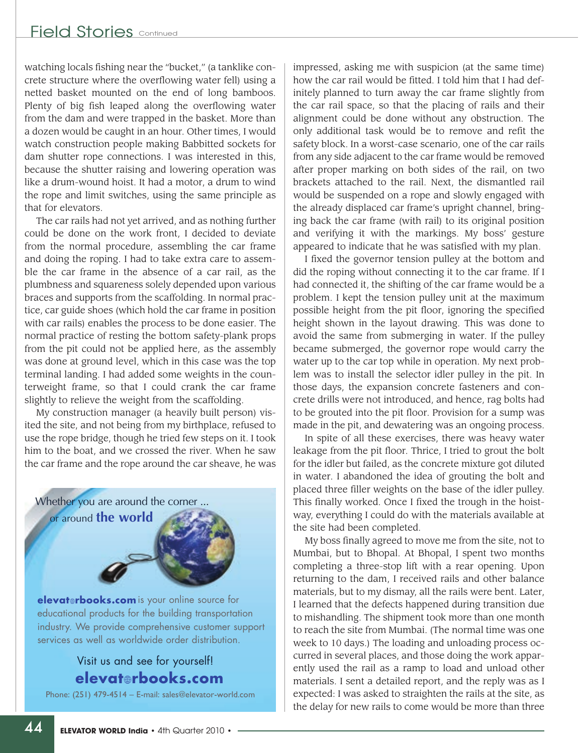watching locals fishing near the "bucket," (a tanklike concrete structure where the overflowing water fell) using a netted basket mounted on the end of long bamboos. Plenty of big fish leaped along the overflowing water from the dam and were trapped in the basket. More than a dozen would be caught in an hour. Other times, I would watch construction people making Babbitted sockets for dam shutter rope connections. I was interested in this, because the shutter raising and lowering operation was like a drum-wound hoist. It had a motor, a drum to wind the rope and limit switches, using the same principle as that for elevators.

The car rails had not yet arrived, and as nothing further could be done on the work front, I decided to deviate from the normal procedure, assembling the car frame and doing the roping. I had to take extra care to assemble the car frame in the absence of a car rail, as the plumbness and squareness solely depended upon various braces and supports from the scaffolding. In normal practice, car guide shoes (which hold the car frame in position with car rails) enables the process to be done easier. The normal practice of resting the bottom safety-plank props from the pit could not be applied here, as the assembly was done at ground level, which in this case was the top terminal landing. I had added some weights in the counterweight frame, so that I could crank the car frame slightly to relieve the weight from the scaffolding.

My construction manager (a heavily built person) visited the site, and not being from my birthplace, refused to use the rope bridge, though he tried few steps on it. I took him to the boat, and we crossed the river. When he saw the car frame and the rope around the car sheave, he was

Whether you are around the corner ...

or around **the world**

is your online source for **elevatrbooks.com** educational products for the building transportation industry. We provide comprehensive customer support services as well as worldwide order distribution.

## Visit us and see for yourself! **elevatrbooks.com**

Phone: (251) 479-4514 – E-mail: sales@elevator-world.com

impressed, asking me with suspicion (at the same time) how the car rail would be fitted. I told him that I had definitely planned to turn away the car frame slightly from the car rail space, so that the placing of rails and their alignment could be done without any obstruction. The only additional task would be to remove and refit the safety block. In a worst-case scenario, one of the car rails from any side adjacent to the car frame would be removed after proper marking on both sides of the rail, on two brackets attached to the rail. Next, the dismantled rail would be suspended on a rope and slowly engaged with the already displaced car frame's upright channel, bringing back the car frame (with rail) to its original position and verifying it with the markings. My boss' gesture appeared to indicate that he was satisfied with my plan.

I fixed the governor tension pulley at the bottom and did the roping without connecting it to the car frame. If I had connected it, the shifting of the car frame would be a problem. I kept the tension pulley unit at the maximum possible height from the pit floor, ignoring the specified height shown in the layout drawing. This was done to avoid the same from submerging in water. If the pulley became submerged, the governor rope would carry the water up to the car top while in operation. My next problem was to install the selector idler pulley in the pit. In those days, the expansion concrete fasteners and concrete drills were not introduced, and hence, rag bolts had to be grouted into the pit floor. Provision for a sump was made in the pit, and dewatering was an ongoing process.

In spite of all these exercises, there was heavy water leakage from the pit floor. Thrice, I tried to grout the bolt for the idler but failed, as the concrete mixture got diluted in water. I abandoned the idea of grouting the bolt and placed three filler weights on the base of the idler pulley. This finally worked. Once I fixed the trough in the hoistway, everything I could do with the materials available at the site had been completed.

My boss finally agreed to move me from the site, not to Mumbai, but to Bhopal. At Bhopal, I spent two months completing a three-stop lift with a rear opening. Upon returning to the dam, I received rails and other balance materials, but to my dismay, all the rails were bent. Later, I learned that the defects happened during transition due to mishandling. The shipment took more than one month to reach the site from Mumbai. (The normal time was one week to 10 days.) The loading and unloading process occurred in several places, and those doing the work apparently used the rail as a ramp to load and unload other materials. I sent a detailed report, and the reply was as I expected: I was asked to straighten the rails at the site, as the delay for new rails to come would be more than three